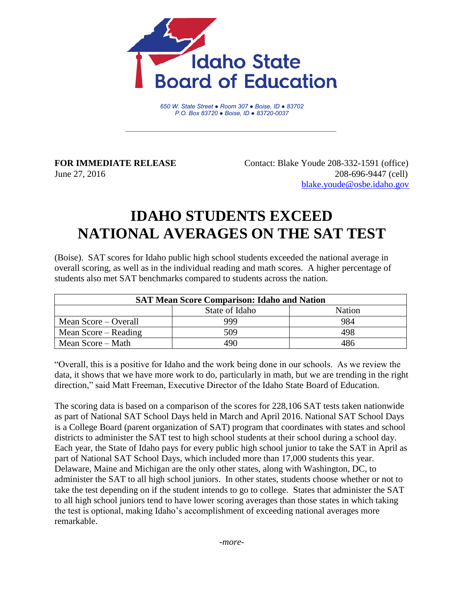

*650 W. State Street ● Room 307 ● Boise, ID ● 83702 P.O. Box 83720 ● Boise, ID ● 83720-0037*

**FOR IMMEDIATE RELEASE** Contact: Blake Youde 208-332-1591 (office) June 27, 2016 208-696-9447 (cell) [blake.youde@osbe.idaho.gov](mailto:blake.youde@osbe.idaho.gov)

## **IDAHO STUDENTS EXCEED NATIONAL AVERAGES ON THE SAT TEST**

(Boise). SAT scores for Idaho public high school students exceeded the national average in overall scoring, as well as in the individual reading and math scores. A higher percentage of students also met SAT benchmarks compared to students across the nation.

| <b>SAT Mean Score Comparison: Idaho and Nation</b> |                |        |  |
|----------------------------------------------------|----------------|--------|--|
|                                                    | State of Idaho | Nation |  |
| Mean Score – Overall                               | 999            | 984    |  |
| Mean Score – Reading                               | 509            | 498    |  |
| Mean Score – Math                                  | 190            | 486    |  |

"Overall, this is a positive for Idaho and the work being done in our schools. As we review the data, it shows that we have more work to do, particularly in math, but we are trending in the right direction," said Matt Freeman, Executive Director of the Idaho State Board of Education.

The scoring data is based on a comparison of the scores for 228,106 SAT tests taken nationwide as part of National SAT School Days held in March and April 2016. National SAT School Days is a College Board (parent organization of SAT) program that coordinates with states and school districts to administer the SAT test to high school students at their school during a school day. Each year, the State of Idaho pays for every public high school junior to take the SAT in April as part of National SAT School Days, which included more than 17,000 students this year. Delaware, Maine and Michigan are the only other states, along with Washington, DC, to administer the SAT to all high school juniors. In other states, students choose whether or not to take the test depending on if the student intends to go to college. States that administer the SAT to all high school juniors tend to have lower scoring averages than those states in which taking the test is optional, making Idaho's accomplishment of exceeding national averages more remarkable.